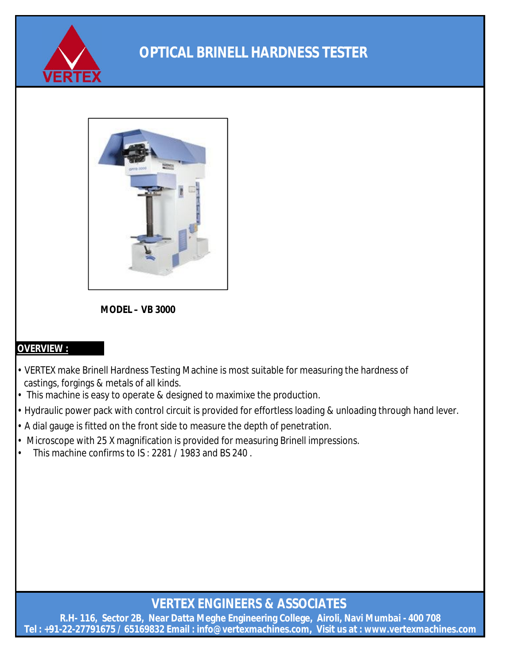

# **OPTICAL BRINELL HARDNESS TESTER**



 **MODEL – VB 3000**

#### **OVERVIEW :**

- VERTEX make Brinell Hardness Testing Machine is most suitable for measuring the hardness of castings, forgings & metals of all kinds.
- This machine is easy to operate & designed to maximixe the production.
- Hydraulic power pack with control circuit is provided for effortless loading & unloading through hand lever.
- A dial gauge is fitted on the front side to measure the depth of penetration.
- Microscope with 25 X magnification is provided for measuring Brinell impressions.
- This machine confirms to IS : 2281 / 1983 and BS 240 .

## **VERTEX ENGINEERS & ASSOCIATES**

**Tel : +91-22-27791675 / 65169832 Email : info@vertexmachines.com, Visit us at : www.vertexmachines.com R.H- 116, Sector 2B, Near Datta Meghe Engineering College, Airoli, Navi Mumbai - 400 708**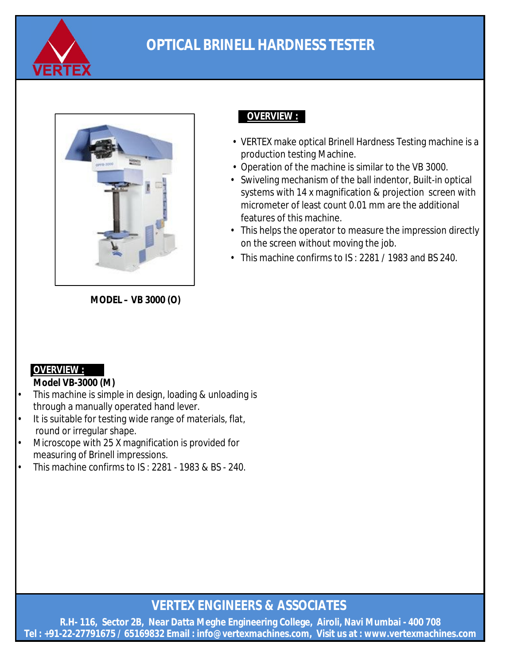

# **OPTICAL BRINELL HARDNESS TESTER**



**MODEL – VB 3000 (O)**

### **OVERVIEW :**

- VERTEX make optical Brinell Hardness Testing machine is a production testing Machine.
- Operation of the machine is similar to the VB 3000.
- Swiveling mechanism of the ball indentor, Built-in optical features of this machine. systems with 14 x magnification & projection screen with micrometer of least count 0.01 mm are the additional
- This helps the operator to measure the impression directly on the screen without moving the job.
- This machine confirms to IS : 2281 / 1983 and BS 240.

### **OVERVIEW :**

#### **Model VB-3000 (M)**

- This machine is simple in design, loading & unloading is through a manually operated hand lever.
- It is suitable for testing wide range of materials, flat, round or irregular shape.
- Microscope with 25 X magnification is provided for measuring of Brinell impressions.
- This machine confirms to IS : 2281 1983 & BS 240.

## **VERTEX ENGINEERS & ASSOCIATES**

**R.H- 116, Sector 2B, Near Datta Meghe Engineering College, Airoli, Navi Mumbai - 400 708 Tel : +91-22-27791675 / 65169832 Email : info@vertexmachines.com, Visit us at : www.vertexmachines.com**